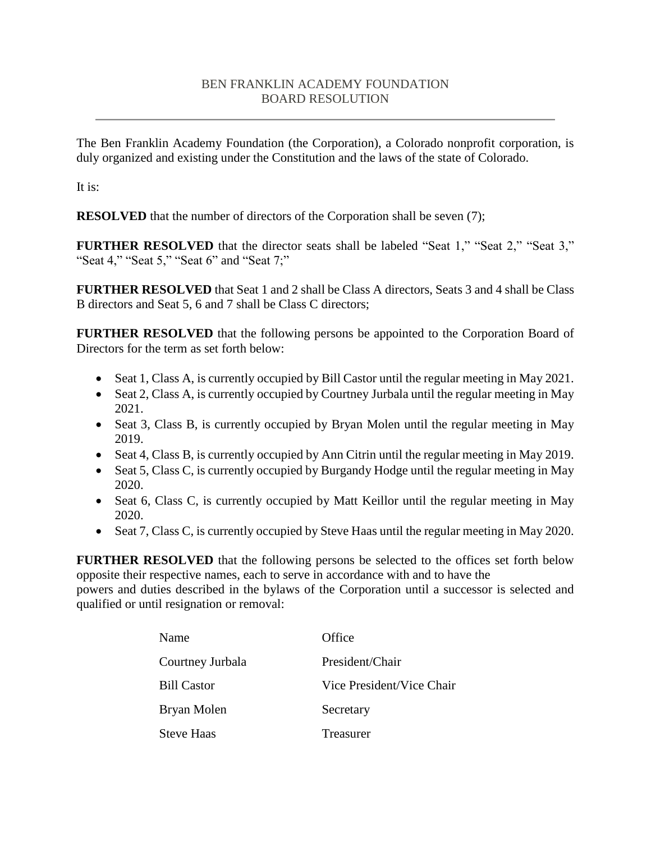## BEN FRANKLIN ACADEMY FOUNDATION BOARD RESOLUTION

The Ben Franklin Academy Foundation (the Corporation), a Colorado nonprofit corporation, is duly organized and existing under the Constitution and the laws of the state of Colorado.

It is:

**RESOLVED** that the number of directors of the Corporation shall be seven (7);

**FURTHER RESOLVED** that the director seats shall be labeled "Seat 1," "Seat 2," "Seat 3," "Seat 4," "Seat 5," "Seat 6" and "Seat 7;"

**FURTHER RESOLVED** that Seat 1 and 2 shall be Class A directors, Seats 3 and 4 shall be Class B directors and Seat 5, 6 and 7 shall be Class C directors;

**FURTHER RESOLVED** that the following persons be appointed to the Corporation Board of Directors for the term as set forth below:

- Seat 1, Class A, is currently occupied by Bill Castor until the regular meeting in May 2021.
- Seat 2, Class A, is currently occupied by Courtney Jurbala until the regular meeting in May 2021.
- Seat 3, Class B, is currently occupied by Bryan Molen until the regular meeting in May 2019.
- Seat 4, Class B, is currently occupied by Ann Citrin until the regular meeting in May 2019.
- Seat 5, Class C, is currently occupied by Burgandy Hodge until the regular meeting in May 2020.
- Seat 6, Class C, is currently occupied by Matt Keillor until the regular meeting in May 2020.
- Seat 7, Class C, is currently occupied by Steve Haas until the regular meeting in May 2020.

**FURTHER RESOLVED** that the following persons be selected to the offices set forth below opposite their respective names, each to serve in accordance with and to have the

powers and duties described in the bylaws of the Corporation until a successor is selected and qualified or until resignation or removal:

| Name               | Office                    |
|--------------------|---------------------------|
| Courtney Jurbala   | President/Chair           |
| <b>Bill Castor</b> | Vice President/Vice Chair |
| Bryan Molen        | Secretary                 |
| <b>Steve Haas</b>  | Treasurer                 |